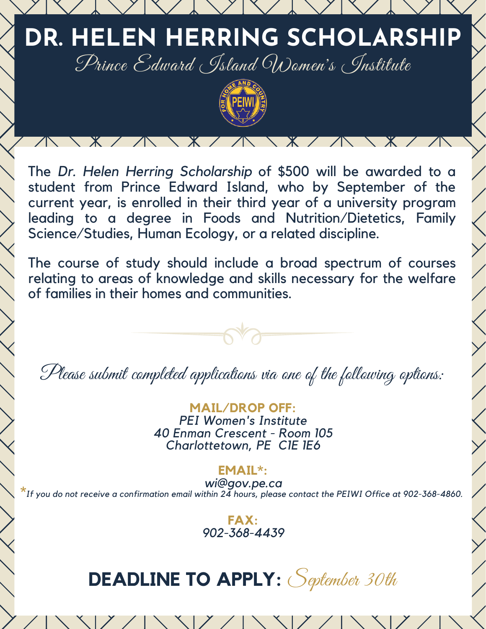



 $X / N$ 

 $\sqrt{N}$ 

The *Dr. Helen Herring Scholarship* of \$500 will be awarded to a student from Prince Edward Island, who by September of the current year, is enrolled in their third year of a university program leading to a degree in Foods and Nutrition/Dietetics, Family Science/Studies, Human Ecology, or a related discipline.

The course of study should include a broad spectrum of courses relating to areas of knowledge and skills necessary for the welfare of families in their homes and communities.

Please submit completed applications via one of the following options:

**MAIL/DROP OFF:** *PEI Women's Institute 40 Enman Crescent - Room 105 Charlottetown, PE C1E 1E6*

**EMAIL\*:**

*wi@gov.pe.ca* **\****If you do not receive a confirmation email within 24 hours, please contact the PEIWI Office at 902-368-4860.*



# **DEADLINE TO APPLY:** September 30th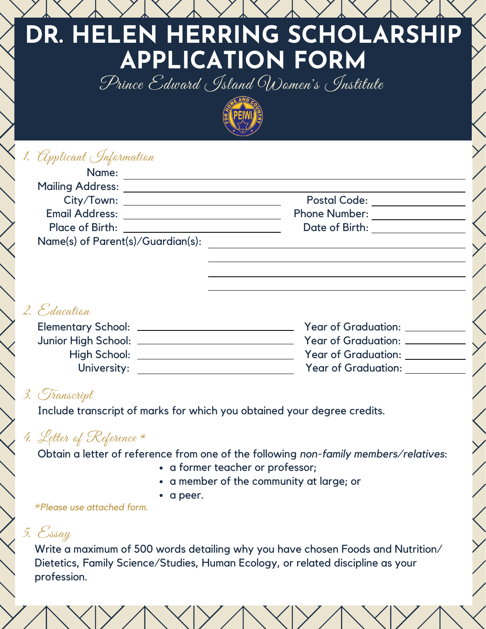## **DR. HELEN HERRING SCHOLARSHIP APPLICATION FORM** Prince Edward Island Women's Institute



### 1. Applicant Information

| Name:                                         |                      |  |
|-----------------------------------------------|----------------------|--|
| <b>Mailing Address:</b>                       |                      |  |
| City/Town: _________                          | <b>Postal Code:</b>  |  |
| <b>Email Address:</b>                         | <b>Phone Number:</b> |  |
| Place of Birth: The Contract of Section 1996. | Date of Birth:       |  |
| Name(s) of Parent(s)/Guardian(s):             |                      |  |
|                                               |                      |  |

### 2. Education

| Year of Graduation: _      |
|----------------------------|
| Year of Graduation: __     |
| <b>Year of Graduation:</b> |
| <b>Year of Graduation:</b> |
|                            |

#### 3. Transcript

Include transcript of marks for which you obtained your degree credits.

### 4. Letter of Reference  $*$

Obtain a letter of reference from one of the following *non-family members/relatives*:

- a former teacher or professor;
- a member of the community at large; or
- a peer.

*Please use attached form.* \*

## 5. Essay

Write a maximum of 500 words detailing why you have chosen Foods and Nutrition/ Dietetics, Family Science/Studies, Human Ecology, or related discipline as your profession.